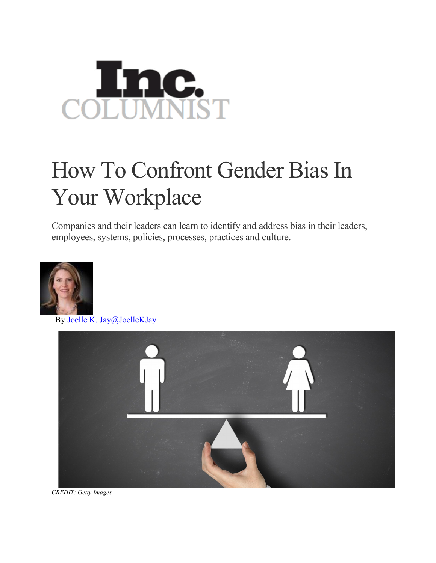

## How To Confront Gender Bias In Your Workplace

Companies and their leaders can learn to identify and address bias in their leaders, employees, systems, policies, processes, practices and culture.



By Joelle K. Jay@JoelleKJay



*CREDIT: Getty Images*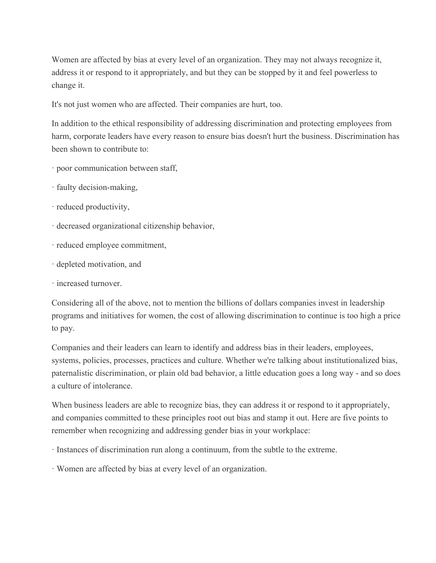Women are affected by bias at every level of an organization. They may not always recognize it, address it or respond to it appropriately, and but they can be stopped by it and feel powerless to change it.

It's not just women who are affected. Their companies are hurt, too.

In addition to the ethical responsibility of addressing discrimination and protecting employees from harm, corporate leaders have every reason to ensure bias doesn't hurt the business. Discrimination has been shown to contribute to:

- · poor communication between staff,
- · faulty decision-making,
- · reduced productivity,
- · decreased organizational citizenship behavior,
- · reduced employee commitment,
- · depleted motivation, and
- · increased turnover.

Considering all of the above, not to mention the billions of dollars companies invest in leadership programs and initiatives for women, the cost of allowing discrimination to continue is too high a price to pay.

Companies and their leaders can learn to identify and address bias in their leaders, employees, systems, policies, processes, practices and culture. Whether we're talking about institutionalized bias, paternalistic discrimination, or plain old bad behavior, a little education goes a long way - and so does a culture of intolerance.

When business leaders are able to recognize bias, they can address it or respond to it appropriately, and companies committed to these principles root out bias and stamp it out. Here are five points to remember when recognizing and addressing gender bias in your workplace:

· Instances of discrimination run along a continuum, from the subtle to the extreme.

· Women are affected by bias at every level of an organization.